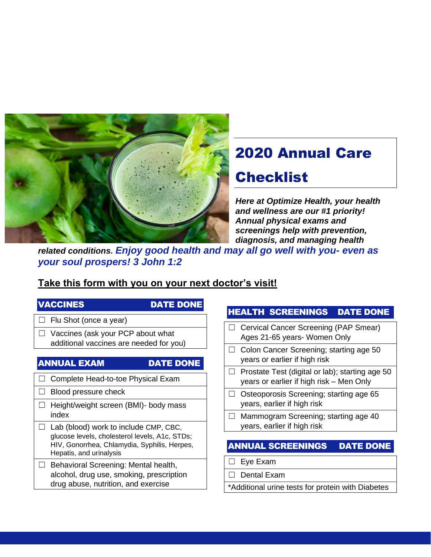

# 2020 Annual Care

# **Checklist**

*Here at Optimize Health, your health and wellness are our #1 priority! Annual physical exams and screenings help with prevention, diagnosis, and managing health* 

*related conditions. Enjoy good health and may all go well with you- even as your soul prospers! 3 John 1:2*

## **Take this form with you on your next doctor's visit!**

### VACCINES DATE DONE

 $\Box$  Flu Shot (once a year)

☐ Vaccines (ask your PCP about what additional vaccines are needed for you)

### ANNUAL EXAM DATE DONE

- □ Complete Head-to-toe Physical Exam
- $\Box$  Blood pressure check
- ☐ Height/weight screen (BMI)- body mass index
- $\Box$  Lab (blood) work to include CMP, CBC, glucose levels, cholesterol levels, A1c, STDs; HIV, Gonorrhea, Chlamydia, Syphilis, Herpes, Hepatis, and urinalysis
- ☐ Behavioral Screening: Mental health, alcohol, drug use, smoking, prescription drug abuse, nutrition, and exercise

### HEALTH SCREENINGS DATE DONE

- ☐ Cervical Cancer Screening (PAP Smear) Ages 21-65 years- Women Only
- ☐ Colon Cancer Screening; starting age 50 years or earlier if high risk
- $\Box$  Prostate Test (digital or lab); starting age 50 years or earlier if high risk – Men Only
- ☐ Osteoporosis Screening; starting age 65 years, earlier if high risk
- ☐ Mammogram Screening; starting age 40 years, earlier if high risk

## ANNUAL SCREENINGS DATE DONE

- ☐ Eye Exam
- ☐ Dental Exam
- \*Additional urine tests for protein with Diabetes